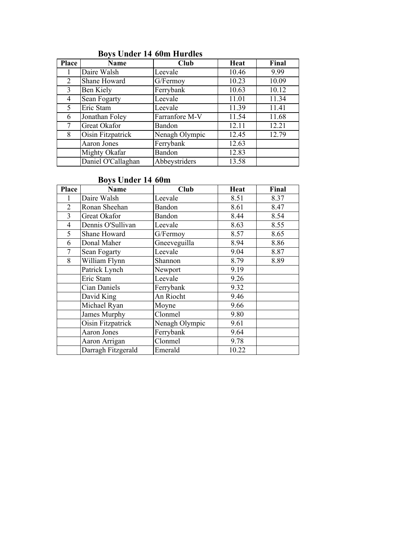# Boys Under 14 60m Hurdles

| <b>Place</b> | Name               | Club           | Heat  | Final |
|--------------|--------------------|----------------|-------|-------|
|              | Daire Walsh        | Leevale        | 10.46 | 9.99  |
| 2            | Shane Howard       | G/Fermoy       | 10.23 | 10.09 |
| 3            | Ben Kiely          | Ferrybank      | 10.63 | 10.12 |
| 4            | Sean Fogarty       | Leevale        | 11.01 | 11.34 |
| 5            | Eric Stam          | Leevale        | 11.39 | 11.41 |
| 6            | Jonathan Foley     | Farranfore M-V | 11.54 | 11.68 |
|              | Great Okafor       | Bandon         | 12.11 | 12.21 |
| 8            | Oisin Fitzpatrick  | Nenagh Olympic | 12.45 | 12.79 |
|              | <b>Aaron Jones</b> | Ferrybank      | 12.63 |       |
|              | Mighty Okafar      | Bandon         | 12.83 |       |
|              | Daniel O'Callaghan | Abbeystriders  | 13.58 |       |

# Boys Under 14 60m

| Place | Name                | Club                         | <b>Heat</b> | Final |
|-------|---------------------|------------------------------|-------------|-------|
|       | Daire Walsh         | Leevale                      | 8.51        | 8.37  |
| 2     | Ronan Sheehan       | Bandon                       | 8.61        | 8.47  |
| 3     | Great Okafor        | Bandon                       | 8.44        | 8.54  |
| 4     | Dennis O'Sullivan   | Leevale                      | 8.63        | 8.55  |
| 5     | Shane Howard        | G/Fermoy                     | 8.57        | 8.65  |
| 6     | Donal Maher         | Gneeveguilla                 | 8.94        | 8.86  |
| 7     | Sean Fogarty        | Leevale                      | 9.04        | 8.87  |
| 8     | William Flynn       | Shannon                      | 8.79        | 8.89  |
|       | Patrick Lynch       | Newport                      | 9.19        |       |
|       | Eric Stam           | Leevale                      | 9.26        |       |
|       | <b>Cian Daniels</b> | Ferrybank                    | 9.32        |       |
|       | David King          | An Riocht                    | 9.46        |       |
|       | Michael Ryan        | Moyne                        | 9.66        |       |
|       | James Murphy        | Clonmel                      | 9.80        |       |
|       | Oisin Fitzpatrick   | Nenagh Olympic               | 9.61        |       |
|       | <b>Aaron Jones</b>  | Ferrybank                    | 9.64        |       |
|       | Aaron Arrigan       | $\overline{\text{Cl}}$ onmel | 9.78        |       |
|       | Darragh Fitzgerald  | Emerald                      | 10.22       |       |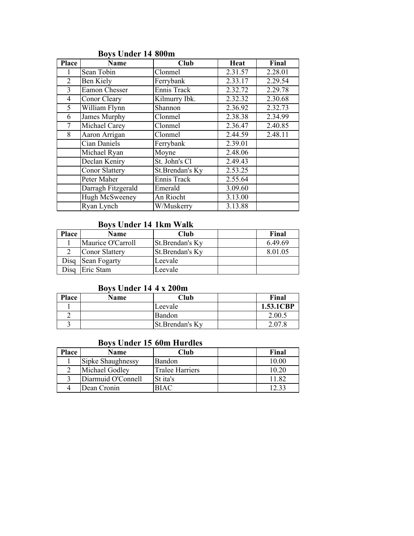| <b>Place</b>   | <b>Name</b>           | Club            | Heat    | Final   |
|----------------|-----------------------|-----------------|---------|---------|
|                | Sean Tobin            | Clonmel         | 2.31.57 | 2.28.01 |
| $\overline{2}$ | Ben Kiely             | Ferrybank       | 2.33.17 | 2.29.54 |
| 3              | Eamon Chesser         | Ennis Track     | 2.32.72 | 2.29.78 |
| $\overline{4}$ | Conor Cleary          | Kilmurry Ibk.   | 2.32.32 | 2.30.68 |
| 5              | William Flynn         | Shannon         | 2.36.92 | 2.32.73 |
| 6              | <b>James Murphy</b>   | Clonmel         | 2.38.38 | 2.34.99 |
| 7              | Michael Carey         | Clonmel         | 2.36.47 | 2.40.85 |
| 8              | Aaron Arrigan         | Clonmel         | 2.44.59 | 2.48.11 |
|                | Cian Daniels          | Ferrybank       | 2.39.01 |         |
|                | Michael Ryan          | Moyne           | 2.48.06 |         |
|                | Declan Keniry         | St. John's Cl   | 2.49.43 |         |
|                | <b>Conor Slattery</b> | St.Brendan's Ky | 2.53.25 |         |
|                | Peter Maher           | Ennis Track     | 2.55.64 |         |
|                | Darragh Fitzgerald    | Emerald         | 3.09.60 |         |
|                | Hugh McSweeney        | An Riocht       | 3.13.00 |         |
|                | Ryan Lynch            | W/Muskerry      | 3.13.88 |         |

# Boys Under 14 800m

# Boys Under 14 1km Walk

| Place          | Name                  | Club             | Final   |
|----------------|-----------------------|------------------|---------|
|                | Maurice O'Carroll     | St. Brendan's Ky | 6.49.69 |
|                | <b>Conor Slattery</b> | St.Brendan's Ky  | 8.01.05 |
| Disq           | Sean Fogarty          | Leevale          |         |
| $\sum_{i=1}^n$ | Eric Stam             | Leevale          |         |

# Boys Under 14 4 x 200m

| Place | Name | Club            | Final     |
|-------|------|-----------------|-----------|
|       |      | Leevale         | 1.53.1CBP |
|       |      | <b>Bandon</b>   | 2.00.5    |
|       |      | St.Brendan's Ky | 2.07.8    |

# Boys Under 15 60m Hurdles

| Place | Name               | Club                   | Final |
|-------|--------------------|------------------------|-------|
|       | Sipke Shaughnessy  | Bandon                 | 10.00 |
|       | Michael Godley     | <b>Tralee Harriers</b> | 10.20 |
|       | Diarmuid O'Connell | St ita's               | 11.82 |
|       | Dean Cronin        | <b>BIAC</b>            | 12.33 |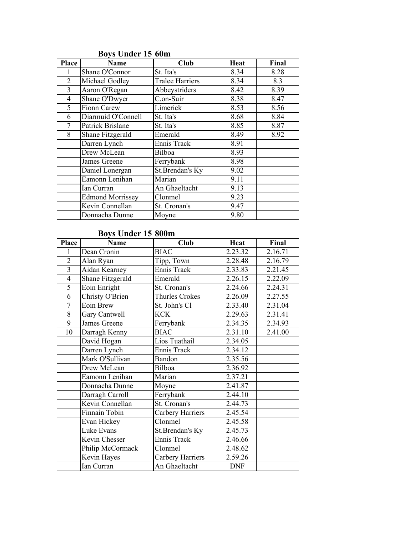| <b>Place</b> | Name                    | <b>Club</b>            | <b>Heat</b> | Final |
|--------------|-------------------------|------------------------|-------------|-------|
|              | Shane O'Connor          | St. Ita's              | 8.34        | 8.28  |
| 2            | Michael Godley          | <b>Tralee Harriers</b> | 8.34        | 8.3   |
| 3            | Aaron O'Regan           | Abbeystriders          | 8.42        | 8.39  |
| 4            | Shane O'Dwyer           | C.on-Suir              | 8.38        | 8.47  |
| 5            | <b>Fionn Carew</b>      | Limerick               | 8.53        | 8.56  |
| 6            | Diarmuid O'Connell      | St. Ita's              | 8.68        | 8.84  |
|              | Patrick Brislane        | St. Ita's              | 8.85        | 8.87  |
| 8            | Shane Fitzgerald        | Emerald                | 8.49        | 8.92  |
|              | Darren Lynch            | Ennis Track            | 8.91        |       |
|              | Drew McLean             | Bilboa                 | 8.93        |       |
|              | James Greene            | Ferrybank              | 8.98        |       |
|              | Daniel Lonergan         | St.Brendan's Ky        | 9.02        |       |
|              | Eamonn Lenihan          | Marian                 | 9.11        |       |
|              | Ian Curran              | An Ghaeltacht          | 9.13        |       |
|              | <b>Edmond Morrissey</b> | Clonmel                | 9.23        |       |
|              | Kevin Connellan         | St. Cronan's           | 9.47        |       |
|              | Donnacha Dunne          | Moyne                  | 9.80        |       |

# Boys Under 15 60m

# Boys Under 15 800m

| Place          | Name             | Club               | <b>Heat</b> | Final   |
|----------------|------------------|--------------------|-------------|---------|
| 1              | Dean Cronin      | <b>BIAC</b>        | 2.23.32     | 2.16.71 |
| $\overline{2}$ | Alan Ryan        | Tipp, Town         | 2.28.48     | 2.16.79 |
| $\overline{3}$ | Aidan Kearney    | Ennis Track        | 2.33.83     | 2.21.45 |
| 4              | Shane Fitzgerald | Emerald            | 2.26.15     | 2.22.09 |
| $\overline{5}$ | Eoin Enright     | St. Cronan's       | 2.24.66     | 2.24.31 |
| 6              | Christy O'Brien  | Thurles Crokes     | 2.26.09     | 2.27.55 |
| 7              | Eoin Brew        | St. John's Cl      | 2.33.40     | 2.31.04 |
| 8              | Gary Cantwell    | <b>KCK</b>         | 2.29.63     | 2.31.41 |
| 9              | James Greene     | Ferrybank          | 2.34.35     | 2.34.93 |
| 10             | Darragh Kenny    | <b>BIAC</b>        | 2.31.10     | 2.41.00 |
|                | David Hogan      | Lios Tuathail      | 2.34.05     |         |
|                | Darren Lynch     | <b>Ennis Track</b> | 2.34.12     |         |
|                | Mark O'Sullivan  | <b>Bandon</b>      | 2.35.56     |         |
|                | Drew McLean      | Bilboa             | 2.36.92     |         |
|                | Eamonn Lenihan   | Marian             | 2.37.21     |         |
|                | Donnacha Dunne   | Moyne              | 2.41.87     |         |
|                | Darragh Carroll  | Ferrybank          | 2.44.10     |         |
|                | Kevin Connellan  | St. Cronan's       | 2.44.73     |         |
|                | Finnain Tobin    | Carbery Harriers   | 2.45.54     |         |
|                | Evan Hickey      | Clonmel            | 2.45.58     |         |
|                | Luke Evans       | St.Brendan's Ky    | 2.45.73     |         |
|                | Kevin Chesser    | Ennis Track        | 2.46.66     |         |
|                | Philip McCormack | Clonmel            | 2.48.62     |         |
|                | Kevin Hayes      | Carbery Harriers   | 2.59.26     |         |
|                | Ian Curran       | An Ghaeltacht      | <b>DNF</b>  |         |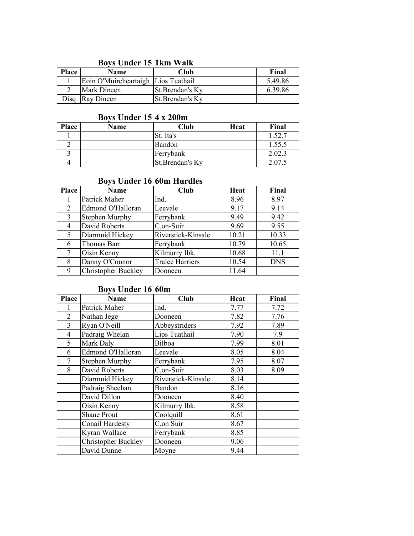## Boys Under 15 1km Walk

| <b>Place</b> | <b>Name</b>                         | Club             | Final   |
|--------------|-------------------------------------|------------------|---------|
|              | Eoin O'Muircheartaigh Lios Tuathail |                  | 5.49.86 |
|              | <b>Mark Dineen</b>                  | St. Brendan's Ky | 6.39.86 |
|              | Disq Ray Dineen                     | St.Brendan's Ky  |         |

#### Boys Under 15 4 x 200m

| <b>Place</b> | <b>Name</b> | Club            | Heat | Final  |
|--------------|-------------|-----------------|------|--------|
|              |             | St. Ita's       |      | 1.52.7 |
|              |             | Bandon          |      | 1.55.5 |
|              |             | Ferrybank       |      | 2.02.3 |
|              |             | St.Brendan's Ky |      | 2.07   |

# Boys Under 16 60m Hurdles

| Place | Name                       | Club                   | Heat  | Final      |
|-------|----------------------------|------------------------|-------|------------|
|       | Patrick Maher              | Ind.                   | 8.96  | 8.97       |
| 2     | Edmond O'Halloran          | Leevale                | 9.17  | 9.14       |
| 3     | <b>Stephen Murphy</b>      | Ferrybank              | 9.49  | 9.42       |
| 4     | David Roberts              | C.on-Suir              | 9.69  | 9.55       |
| 5     | Diarmuid Hickey            | Riverstick-Kinsale     | 10.21 | 10.33      |
| 6     | Thomas Barr                | Ferrybank              | 10.79 | 10.65      |
|       | Oisin Kenny                | Kilmurry Ibk.          | 10.68 | 11.1       |
| 8     | Danny O'Connor             | <b>Tralee Harriers</b> | 10.54 | <b>DNS</b> |
| 9     | <b>Christopher Buckley</b> | Dooneen                | 11.64 |            |

# Boys Under 16 60m

| <b>Place</b>   | <b>Name</b>                | <b>Club</b>        | <b>Heat</b> | Final |
|----------------|----------------------------|--------------------|-------------|-------|
|                | Patrick Maher              | Ind.               | 7.77        | 7.72  |
| 2              | Nathan Jege                | Dooneen            | 7.82        | 7.76  |
| 3              | Ryan O'Neill               | Abbeystriders      | 7.92        | 7.89  |
| $\overline{4}$ | Padraig Whelan             | Lios Tuathail      | 7.90        | 7.9   |
| 5              | Mark Daly                  | Bilboa             | 7.99        | 8.01  |
| 6              | Edmond O'Halloran          | Leevale            | 8.05        | 8.04  |
| 7              | Stephen Murphy             | Ferrybank          | 7.95        | 8.07  |
| 8              | David Roberts              | C.on-Suir          | 8.03        | 8.09  |
|                | Diarmuid Hickey            | Riverstick-Kinsale | 8.14        |       |
|                | Padraig Sheehan            | Bandon             | 8.16        |       |
|                | David Dillon               | Dooneen            | 8.40        |       |
|                | Oisin Kenny                | Kilmurry Ibk.      | 8.58        |       |
|                | <b>Shane Prout</b>         | Coolquill          | 8.61        |       |
|                | Conail Hardesty            | C.on Suir          | 8.67        |       |
|                | Kyran Wallace              | Ferrybank          | 8.85        |       |
|                | <b>Christopher Buckley</b> | Dooneen            | 9.06        |       |
|                | David Dunne                | Moyne              | 9.44        |       |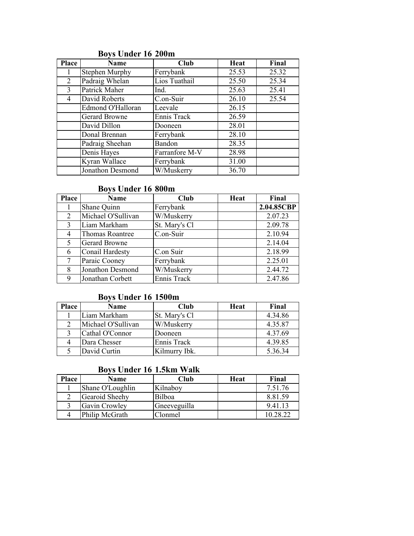| <b>Place</b> | <b>Name</b>             | Club           | Heat  | Final |
|--------------|-------------------------|----------------|-------|-------|
|              | Stephen Murphy          | Ferrybank      | 25.53 | 25.32 |
| 2            | Padraig Whelan          | Lios Tuathail  | 25.50 | 25.34 |
| 3            | Patrick Maher           | Ind.           | 25.63 | 25.41 |
| 4            | David Roberts           | C.on-Suir      | 26.10 | 25.54 |
|              | Edmond O'Halloran       | Leevale        | 26.15 |       |
|              | Gerard Browne           | Ennis Track    | 26.59 |       |
|              | David Dillon            | Dooneen        | 28.01 |       |
|              | Donal Brennan           | Ferrybank      | 28.10 |       |
|              | Padraig Sheehan         | <b>Bandon</b>  | 28.35 |       |
|              | Denis Hayes             | Farranfore M-V | 28.98 |       |
|              | Kyran Wallace           | Ferrybank      | 31.00 |       |
|              | <b>Jonathon Desmond</b> | W/Muskerry     | 36.70 |       |

# Boys Under 16 200m

# Boys Under 16 800m

| Place | <b>Name</b>            | Club          | Heat | Final      |
|-------|------------------------|---------------|------|------------|
|       | Shane Quinn            | Ferrybank     |      | 2.04.85CBP |
| 2     | Michael O'Sullivan     | W/Muskerry    |      | 2.07.23    |
| 3     | Liam Markham           | St. Mary's Cl |      | 2.09.78    |
| 4     | <b>Thomas Roantree</b> | C.on-Suir     |      | 2.10.94    |
| 5     | <b>Gerard Browne</b>   |               |      | 2.14.04    |
| 6     | <b>Conail Hardesty</b> | C.on Suir     |      | 2.18.99    |
|       | Paraic Cooney          | Ferrybank     |      | 2.25.01    |
| 8     | Jonathon Desmond       | W/Muskerry    |      | 2.44.72    |
| Q     | Jonathan Corbett       | Ennis Track   |      | 2.47.86    |

# Boys Under 16 1500m

| <b>Place</b> | Name               | Club          | Heat | Final   |
|--------------|--------------------|---------------|------|---------|
|              | Liam Markham       | St. Mary's Cl |      | 4.34.86 |
|              | Michael O'Sullivan | W/Muskerry    |      | 4.35.87 |
|              | Cathal O'Connor    | Dooneen       |      | 4.37.69 |
|              | Dara Chesser       | Ennis Track   |      | 4.39.85 |
|              | David Curtin       | Kilmurry Ibk. |      | 5.36.34 |

# Boys Under 16 1.5km Walk

| Place | Name             | Club         | Heat | Final    |
|-------|------------------|--------------|------|----------|
|       | Shane O'Loughlin | Kilnaboy     |      | 7.51.76  |
|       | Gearoid Sheehy   | Bilboa       |      | 8.81.59  |
|       | Gavin Crowley    | Gneeveguilla |      | 9.41.13  |
|       | Philip McGrath   | Clonmel      |      | 10.28.22 |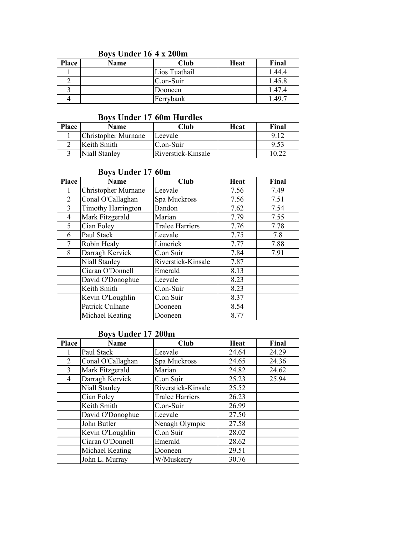# Boys Under 16 4 x 200m

| Place | Name | Club          | Heat | Final  |
|-------|------|---------------|------|--------|
|       |      | Lios Tuathail |      | 1.44.4 |
|       |      | C.on-Suir     |      | 1.45.8 |
|       |      | Dooneen       |      | 1.47.4 |
|       |      | Ferrybank     |      | 1.49.7 |

#### Boys Under 17 60m Hurdles

| Place | Name                       | Club               | Heat | Final |
|-------|----------------------------|--------------------|------|-------|
|       | <b>Christopher Murnane</b> | Leevale            |      |       |
|       | Keith Smith                | C.on-Suir          |      | 9.53  |
|       | Niall Stanley              | Riverstick-Kinsale |      |       |

### Boys Under 17 60m

| <b>Place</b>   | <b>Name</b>               | Club                   | Heat | Final |
|----------------|---------------------------|------------------------|------|-------|
|                | Christopher Murnane       | Leevale                | 7.56 | 7.49  |
| $\overline{2}$ | Conal O'Callaghan         | Spa Muckross           | 7.56 | 7.51  |
| 3              | <b>Timothy Harrington</b> | Bandon                 | 7.62 | 7.54  |
| 4              | Mark Fitzgerald           | Marian                 | 7.79 | 7.55  |
| 5 <sup>1</sup> | Cian Foley                | <b>Tralee Harriers</b> | 7.76 | 7.78  |
| 6              | Paul Stack                | Leevale                | 7.75 | 7.8   |
|                | Robin Healy               | Limerick               | 7.77 | 7.88  |
| 8              | Darragh Kervick           | C.on Suir              | 7.84 | 7.91  |
|                | Niall Stanley             | Riverstick-Kinsale     | 7.87 |       |
|                | Ciaran O'Donnell          | Emerald                | 8.13 |       |
|                | David O'Donoghue          | Leevale                | 8.23 |       |
|                | Keith Smith               | C.on-Suir              | 8.23 |       |
|                | Kevin O'Loughlin          | C.on Suir              | 8.37 |       |
|                | Patrick Culhane           | Dooneen                | 8.54 |       |
|                | Michael Keating           | Dooneen                | 8.77 |       |

#### Boys Under 17 200m

| <b>Place</b> | <b>Name</b>       | Club                   | Heat  | Final |
|--------------|-------------------|------------------------|-------|-------|
|              | Paul Stack        | Leevale                | 24.64 | 24.29 |
| 2            | Conal O'Callaghan | Spa Muckross           | 24.65 | 24.36 |
| 3            | Mark Fitzgerald   | Marian                 | 24.82 | 24.62 |
| 4            | Darragh Kervick   | C.on Suir              | 25.23 | 25.94 |
|              | Niall Stanley     | Riverstick-Kinsale     | 25.52 |       |
|              | Cian Foley        | <b>Tralee Harriers</b> | 26.23 |       |
|              | Keith Smith       | C.on-Suir              | 26.99 |       |
|              | David O'Donoghue  | Leevale                | 27.50 |       |
|              | John Butler       | Nenagh Olympic         | 27.58 |       |
|              | Kevin O'Loughlin  | C.on Suir              | 28.02 |       |
|              | Ciaran O'Donnell  | Emerald                | 28.62 |       |
|              | Michael Keating   | Dooneen                | 29.51 |       |
|              | John L. Murray    | W/Muskerry             | 30.76 |       |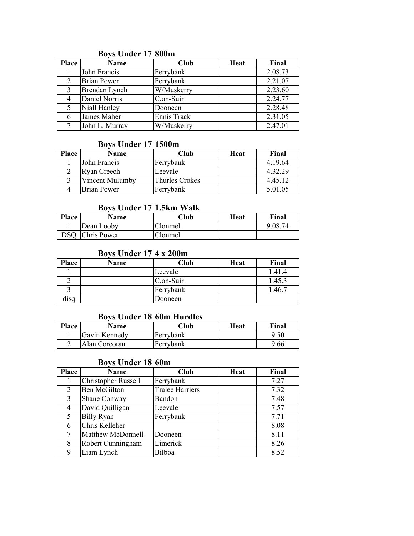| <b>Place</b> | <b>Name</b>        | Club        | Heat | Final   |
|--------------|--------------------|-------------|------|---------|
|              | John Francis       | Ferrybank   |      | 2.08.73 |
|              | <b>Brian Power</b> | Ferrybank   |      | 2.21.07 |
| 3            | Brendan Lynch      | W/Muskerry  |      | 2.23.60 |
|              | Daniel Norris      | C.on-Suir   |      | 2.24.77 |
| 5            | Niall Hanley       | Dooneen     |      | 2.28.48 |
|              | James Maher        | Ennis Track |      | 2.31.05 |
|              | John L. Murray     | W/Muskerry  |      | 2.47.01 |

### Boys Under 17 800m

#### Boys Under 17 1500m

| <b>Place</b> | Name            | Club                  | Heat | Final   |
|--------------|-----------------|-----------------------|------|---------|
|              | John Francis    | Ferrybank             |      | 4.19.64 |
|              | Ryan Creech     | Leevale               |      | 4.32.29 |
|              | Vincent Mulumby | <b>Thurles Crokes</b> |      | 4.45.12 |
|              | Brian Power     | Ferrybank             |      | 5.01.05 |

### Boys Under 17 1.5km Walk

| <b>Place</b> | <b>Name</b>        | 7lub    | Heat | Final   |
|--------------|--------------------|---------|------|---------|
|              | Dean Looby         | Clonmel |      | 9.08.74 |
| DSO          | <b>Chris Power</b> | Clonmel |      |         |

#### Boys Under 17 4 x 200m

| Place                   | Name | Club      | Heat | Final  |
|-------------------------|------|-----------|------|--------|
|                         |      | Leevale   |      | 1.41.4 |
|                         |      | C.on-Suir |      | 1.45.3 |
|                         |      | Ferrybank |      | .46.7  |
| $\cdot$ $\cdot$<br>dısa |      | Dooneen   |      |        |

#### Boys Under 18 60m Hurdles

| Place | <b>Name</b>   | Club      | Heat | Final |
|-------|---------------|-----------|------|-------|
|       | Gavin Kennedy | Ferrybank |      | 9.50  |
|       | Alan Corcoran | Ferrybank |      | 9.66  |

# Boys Under 18 60m

| <b>Place</b> | <b>Name</b>                | Club                   | Heat | Final |
|--------------|----------------------------|------------------------|------|-------|
|              | <b>Christopher Russell</b> | Ferrybank              |      | 7.27  |
| 2            | <b>Ben McGilton</b>        | <b>Tralee Harriers</b> |      | 7.32  |
| 3            | Shane Conway               | Bandon                 |      | 7.48  |
| 4            | David Quilligan            | Leevale                |      | 7.57  |
| 5            | <b>Billy Ryan</b>          | Ferrybank              |      | 7.71  |
| 6            | Chris Kelleher             |                        |      | 8.08  |
|              | Matthew McDonnell          | Dooneen                |      | 8.11  |
| 8            | Robert Cunningham          | Limerick               |      | 8.26  |
| 9            | Liam Lynch                 | Bilboa                 |      | 8.52  |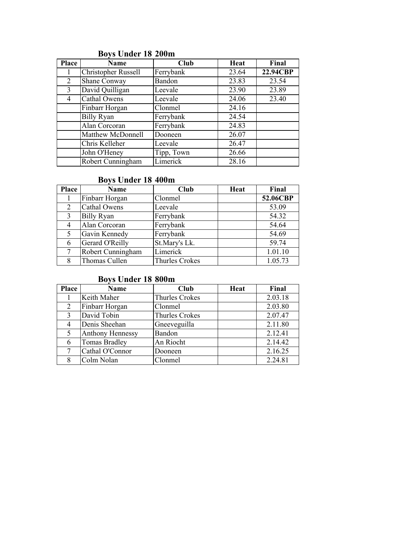| Place | <b>Name</b>                | Club       | Heat  | Final    |
|-------|----------------------------|------------|-------|----------|
|       | <b>Christopher Russell</b> | Ferrybank  | 23.64 | 22.94CBP |
| 2     | Shane Conway               | Bandon     | 23.83 | 23.54    |
| 3     | David Quilligan            | Leevale    | 23.90 | 23.89    |
| 4     | Cathal Owens               | Leevale    | 24.06 | 23.40    |
|       | Finbarr Horgan             | Clonmel    | 24.16 |          |
|       | <b>Billy Ryan</b>          | Ferrybank  | 24.54 |          |
|       | Alan Corcoran              | Ferrybank  | 24.83 |          |
|       | Matthew McDonnell          | Dooneen    | 26.07 |          |
|       | Chris Kelleher             | Leevale    | 26.47 |          |
|       | John O'Heney               | Tipp, Town | 26.66 |          |
|       | Robert Cunningham          | Limerick   | 28.16 |          |

# Boys Under 18 200m

# Boys Under 18 400m

| Place | Name              | Club                  | Heat | Final    |
|-------|-------------------|-----------------------|------|----------|
|       | Finbarr Horgan    | Clonmel               |      | 52.06CBP |
| 2     | Cathal Owens      | Leevale               |      | 53.09    |
| 3     | <b>Billy Ryan</b> | Ferrybank             |      | 54.32    |
|       | Alan Corcoran     | Ferrybank             |      | 54.64    |
|       | Gavin Kennedy     | Ferrybank             |      | 54.69    |
| 6     | Gerard O'Reilly   | St.Mary's Lk.         |      | 59.74    |
|       | Robert Cunningham | Limerick              |      | 1.01.10  |
| 8     | Thomas Cullen     | <b>Thurles Crokes</b> |      | 1.05.73  |

# Boys Under 18 800m

| Place | <b>Name</b>             | <b>Club</b>           | Heat | Final   |
|-------|-------------------------|-----------------------|------|---------|
|       | Keith Maher             | <b>Thurles Crokes</b> |      | 2.03.18 |
| 2     | Finbarr Horgan          | Clonmel               |      | 2.03.80 |
| 3     | David Tobin             | <b>Thurles Crokes</b> |      | 2.07.47 |
|       | Denis Sheehan           | Gneeveguilla          |      | 2.11.80 |
| 5     | <b>Anthony Hennessy</b> | Bandon                |      | 2.12.41 |
| 6     | <b>Tomas Bradley</b>    | An Riocht             |      | 2.14.42 |
|       | Cathal O'Connor         | Dooneen               |      | 2.16.25 |
|       | Colm Nolan              | Clonmel               |      | 2.24.81 |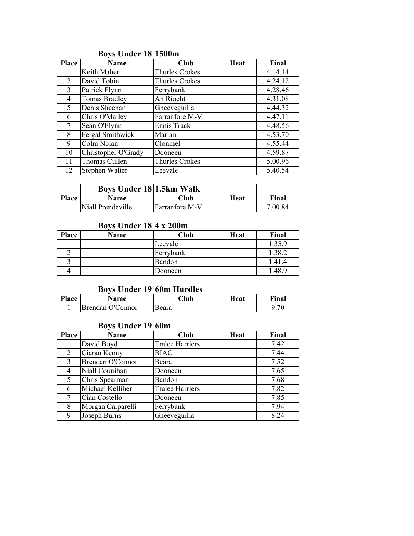| <b>Place</b> | <b>Name</b>          | Club                  | Heat | Final   |
|--------------|----------------------|-----------------------|------|---------|
|              | Keith Maher          | Thurles Crokes        |      | 4.14.14 |
| 2            | David Tobin          | Thurles Crokes        |      | 4.24.12 |
| 3            | Patrick Flynn        | Ferrybank             |      | 4.28.46 |
| 4            | <b>Tomas Bradley</b> | An Riocht             |      | 4.31.08 |
| 5            | Denis Sheehan        | Gneeveguilla          |      | 4.44.32 |
| 6            | Chris O'Malley       | Farranfore M-V        |      | 4.47.11 |
|              | Sean O'Flynn         | Ennis Track           |      | 4.48.56 |
| 8            | Fergal Smithwick     | Marian                |      | 4.53.70 |
| 9            | Colm Nolan           | Clonmel               |      | 4.55.44 |
| 10           | Christopher O'Grady  | Dooneen               |      | 4.59.87 |
| 11           | Thomas Cullen        | <b>Thurles Crokes</b> |      | 5.00.96 |
| 12           | Stephen Walter       | Leevale               |      | 5.40.54 |

# Boys Under 18 1500m

|              | <b>Boys Under 18 1.5km Walk</b> |                |      |         |
|--------------|---------------------------------|----------------|------|---------|
| <b>Place</b> | <b>Name</b>                     | Club           | Heat | Final   |
|              | Niall Prendeville               | Farranfore M-V |      | 7.00.84 |

### Boys Under 18 4 x 200m

| <b>Place</b> | <b>Name</b> | Club          | Heat | Final  |
|--------------|-------------|---------------|------|--------|
|              |             | Leevale       |      | 1.35.9 |
|              |             | Ferrybank     |      | 1.38.2 |
|              |             | <b>Bandon</b> |      | 1.41.4 |
|              |             | Dooneen       |      | .48.9  |

# Boys Under 19 60m Hurdles

| Place | Name             | $\mathbb C$ lub | Heat | Final |
|-------|------------------|-----------------|------|-------|
|       | Brendan O'Connor | Beara           |      | .70   |

# Boys Under 19 60m

| Place | Name              | Club                   | Heat | Final |
|-------|-------------------|------------------------|------|-------|
|       | David Boyd        | <b>Tralee Harriers</b> |      | 7.42  |
| 2     | Ciaran Kenny      | <b>BIAC</b>            |      | 7.44  |
| 3     | Brendan O'Connor  | Beara                  |      | 7.52  |
| 4     | Niall Counihan    | Dooneen                |      | 7.65  |
| 5     | Chris Spearman    | Bandon                 |      | 7.68  |
| 6     | Michael Kelliher  | <b>Tralee Harriers</b> |      | 7.82  |
|       | Cian Costello     | Dooneen                |      | 7.85  |
| 8     | Morgan Carparelli | Ferrybank              |      | 7.94  |
| 9     | Joseph Burns      | Gneeveguilla           |      | 8.24  |